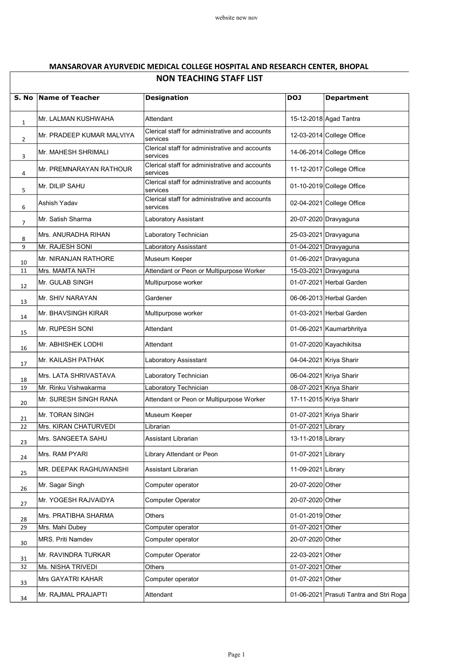## MANSAROVAR AYURVEDIC MEDICAL COLLEGE HOSPITAL AND RESEARCH CENTER, BHOPAL NON TEACHING STAFF LIST

| S. No          | <b>Name of Teacher</b>    | <b>Designation</b>                                         | <b>DOJ</b>         | <b>Department</b>                       |
|----------------|---------------------------|------------------------------------------------------------|--------------------|-----------------------------------------|
| $\mathbf 1$    | Mr. LALMAN KUSHWAHA       | Attendant                                                  |                    | 15-12-2018 Agad Tantra                  |
| $\overline{2}$ | Mr. PRADEEP KUMAR MALVIYA | Clerical staff for administrative and accounts<br>services |                    | 12-03-2014 College Office               |
| 3              | Mr. MAHESH SHRIMALI       | Clerical staff for administrative and accounts<br>services |                    | 14-06-2014 College Office               |
| 4              | Mr. PREMNARAYAN RATHOUR   | Clerical staff for administrative and accounts<br>services |                    | 11-12-2017 College Office               |
| 5              | Mr. DILIP SAHU            | Clerical staff for administrative and accounts<br>services |                    | 01-10-2019 College Office               |
| 6              | Ashish Yadav              | Clerical staff for administrative and accounts<br>services |                    | 02-04-2021 College Office               |
| 7              | Mr. Satish Sharma         | Laboratory Assistant                                       |                    | 20-07-2020 Dravyaguna                   |
| 8              | Mrs. ANURADHA RIHAN       | Laboratory Technician                                      |                    | 25-03-2021 Dravyaguna                   |
| 9              | Mr. RAJESH SONI           | Laboratory Assisstant                                      |                    | 01-04-2021 Dravyaguna                   |
| 10             | Mr. NIRANJAN RATHORE      | Museum Keeper                                              |                    | 01-06-2021 Dravyaguna                   |
| 11             | Mrs. MAMTA NATH           | Attendant or Peon or Multipurpose Worker                   |                    | 15-03-2021 Dravyaguna                   |
| 12             | Mr. GULAB SINGH           | Multipurpose worker                                        |                    | 01-07-2021 Herbal Garden                |
| 13             | Mr. SHIV NARAYAN          | Gardener                                                   |                    | 06-06-2013 Herbal Garden                |
| 14             | Mr. BHAVSINGH KIRAR       | Multipurpose worker                                        |                    | 01-03-2021 Herbal Garden                |
| 15             | Mr. RUPESH SONI           | Attendant                                                  |                    | 01-06-2021 Kaumarbhritya                |
| 16             | Mr. ABHISHEK LODHI        | Attendant                                                  |                    | 01-07-2020 Kayachikitsa                 |
| 17             | Mr. KAILASH PATHAK        | Laboratory Assisstant                                      |                    | 04-04-2021 Kriya Sharir                 |
| 18             | Mrs. LATA SHRIVASTAVA     | Laboratory Technician                                      |                    | 06-04-2021 Kriya Sharir                 |
| 19             | Mr. Rinku Vishwakarma     | Laboratory Technician                                      |                    | 08-07-2021 Kriya Sharir                 |
| 20             | Mr. SURESH SINGH RANA     | Attendant or Peon or Multipurpose Worker                   |                    | 17-11-2015 Kriya Sharir                 |
| 21             | Mr. TORAN SINGH           | Museum Keeper                                              |                    | 01-07-2021 Kriya Sharir                 |
| 22             | Mrs. KIRAN CHATURVEDI     | Librarian                                                  | 01-07-2021 Library |                                         |
| 23             | Mrs. SANGEETA SAHU        | Assistant Librarian                                        | 13-11-2018 Library |                                         |
| 24             | Mrs. RAM PYARI            | Library Attendant or Peon                                  | 01-07-2021 Library |                                         |
| 25             | MR. DEEPAK RAGHUWANSHI    | Assistant Librarian                                        | 11-09-2021 Library |                                         |
| 26             | Mr. Sagar Singh           | Computer operator                                          | 20-07-2020 Other   |                                         |
| 27             | Mr. YOGESH RAJVAIDYA      | <b>Computer Operator</b>                                   | 20-07-2020 Other   |                                         |
| 28             | Mrs. PRATIBHA SHARMA      | Others                                                     | 01-01-2019 Other   |                                         |
| 29             | Mrs. Mahi Dubey           | Computer operator                                          | 01-07-2021 Other   |                                         |
| 30             | MRS. Priti Namdev         | Computer operator                                          | 20-07-2020 Other   |                                         |
| 31             | Mr. RAVINDRA TURKAR       | Computer Operator                                          | 22-03-2021 Other   |                                         |
| 32             | Ms. NISHA TRIVEDI         | Others                                                     | 01-07-2021 Other   |                                         |
| 33             | Mrs GAYATRI KAHAR         | Computer operator                                          | 01-07-2021 Other   |                                         |
| 34             | Mr. RAJMAL PRAJAPTI       | Attendant                                                  |                    | 01-06-2021 Prasuti Tantra and Stri Roga |